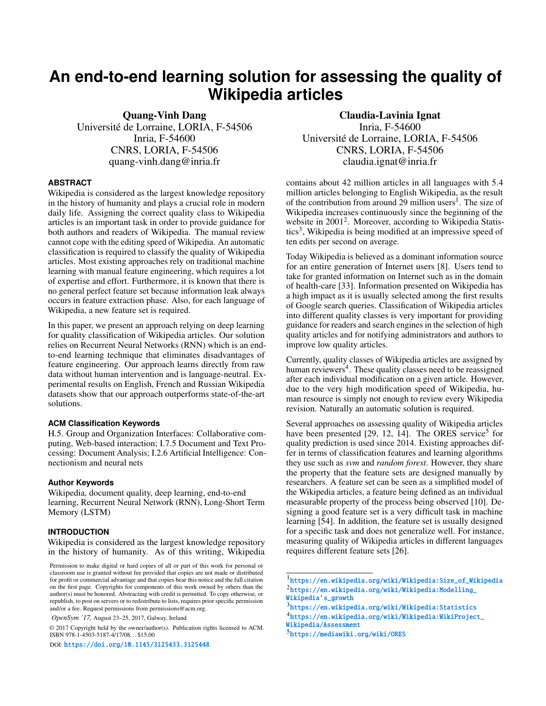# **An end-to-end learning solution for assessing the quality of Wikipedia articles**

Quang-Vinh Dang

Université de Lorraine, LORIA, F-54506 Inria, F-54600 CNRS, LORIA, F-54506 quang-vinh.dang@inria.fr

# **ABSTRACT**

Wikipedia is considered as the largest knowledge repository in the history of humanity and plays a crucial role in modern daily life. Assigning the correct quality class to Wikipedia articles is an important task in order to provide guidance for both authors and readers of Wikipedia. The manual review cannot cope with the editing speed of Wikipedia. An automatic classification is required to classify the quality of Wikipedia articles. Most existing approaches rely on traditional machine learning with manual feature engineering, which requires a lot of expertise and effort. Furthermore, it is known that there is no general perfect feature set because information leak always occurs in feature extraction phase. Also, for each language of Wikipedia, a new feature set is required.

In this paper, we present an approach relying on deep learning for quality classification of Wikipedia articles. Our solution relies on Recurrent Neural Networks (RNN) which is an endto-end learning technique that eliminates disadvantages of feature engineering. Our approach learns directly from raw data without human intervention and is language-neutral. Experimental results on English, French and Russian Wikipedia datasets show that our approach outperforms state-of-the-art solutions.

# **ACM Classification Keywords**

H.5. Group and Organization Interfaces: Collaborative computing, Web-based interaction; I.7.5 Document and Text Processing: Document Analysis; I.2.6 Artificial Intelligence: Connectionism and neural nets

## **Author Keywords**

Wikipedia, document quality, deep learning, end-to-end learning, Recurrent Neural Network (RNN), Long-Short Term Memory (LSTM)

# **INTRODUCTION**

Wikipedia is considered as the largest knowledge repository in the history of humanity. As of this writing, Wikipedia

DOI: <https://doi.org/10.1145/3125433.3125448>

Claudia-Lavinia Ignat Inria, F-54600 Université de Lorraine, LORIA, F-54506 CNRS, LORIA, F-54506 claudia.ignat@inria.fr

contains about 42 million articles in all languages with 5.4 million articles belonging to English Wikipedia, as the result of the contribution from around 29 million users<sup>[1](#page-0-0)</sup>. The size of Wikipedia increases continuously since the beginning of the website in [2](#page-0-1)001<sup>2</sup>. Moreover, according to Wikipedia Statis-tics<sup>[3](#page-0-2)</sup>, Wikipedia is being modified at an impressive speed of ten edits per second on average.

Today Wikipedia is believed as a dominant information source for an entire generation of Internet users [\[8\]](#page-8-0). Users tend to take for granted information on Internet such as in the domain of health-care [\[33\]](#page-8-1). Information presented on Wikipedia has a high impact as it is usually selected among the first results of Google search queries. Classification of Wikipedia articles into different quality classes is very important for providing guidance for readers and search engines in the selection of high quality articles and for notifying administrators and authors to improve low quality articles.

Currently, quality classes of Wikipedia articles are assigned by human reviewers<sup>[4](#page-0-3)</sup>. These quality classes need to be reassigned after each individual modification on a given article. However, due to the very high modification speed of Wikipedia, human resource is simply not enough to review every Wikipedia revision. Naturally an automatic solution is required.

Several approaches on assessing quality of Wikipedia articles have been presented  $[29, 12, 14]$  $[29, 12, 14]$  $[29, 12, 14]$  $[29, 12, 14]$  $[29, 12, 14]$ . The ORES service<sup>[5](#page-0-4)</sup> for quality prediction is used since 2014. Existing approaches differ in terms of classification features and learning algorithms they use such as *svm* and *random forest*. However, they share the property that the feature sets are designed manually by researchers. A feature set can be seen as a simplified model of the Wikipedia articles, a feature being defined as an individual measurable property of the process being observed [\[10\]](#page-8-5). Designing a good feature set is a very difficult task in machine learning [\[54\]](#page-9-0). In addition, the feature set is usually designed for a specific task and does not generalize well. For instance, measuring quality of Wikipedia articles in different languages requires different feature sets [\[26\]](#page-8-6).

Permission to make digital or hard copies of all or part of this work for personal or classroom use is granted without fee provided that copies are not made or distributed for profit or commercial advantage and that copies bear this notice and the full citation on the first page. Copyrights for components of this work owned by others than the author(s) must be honored. Abstracting with credit is permitted. To copy otherwise, or republish, to post on servers or to redistribute to lists, requires prior specific permission and/or a fee. Request permissions from permissions@acm.org.

*OpenSym '17,* August 23–25, 2017, Galway, Ireland

<sup>© 2017</sup> Copyright held by the owner/author(s). Publication rights licensed to ACM. ISBN 978-1-4503-5187-4/17/08. . . \$15.00

<span id="page-0-1"></span><span id="page-0-0"></span><sup>1</sup> [https://en.wikipedia.org/wiki/Wikipedia:Size\\_of\\_Wikipedia](https://en.wikipedia.org/wiki/Wikipedia:Size_of_Wikipedia)  $^2$ [https://en.wikipedia.org/wiki/Wikipedia:Modelling\\_](https://en.wikipedia.org/wiki/Wikipedia:Modelling_Wikipedia) [Wikipedia's\\_growth](https://en.wikipedia.org/wiki/Wikipedia:Modelling_Wikipedia)

<span id="page-0-3"></span><span id="page-0-2"></span><sup>3</sup> <https://en.wikipedia.org/wiki/Wikipedia:Statistics> 4 [https://en.wikipedia.org/wiki/Wikipedia:WikiProject\\_](https://en.wikipedia.org/wiki/Wikipedia:WikiProject_Wikipedia/Assessment) [Wikipedia/Assessment](https://en.wikipedia.org/wiki/Wikipedia:WikiProject_Wikipedia/Assessment)

<span id="page-0-4"></span><sup>&</sup>lt;sup>5</sup><https://mediawiki.org/wiki/ORES>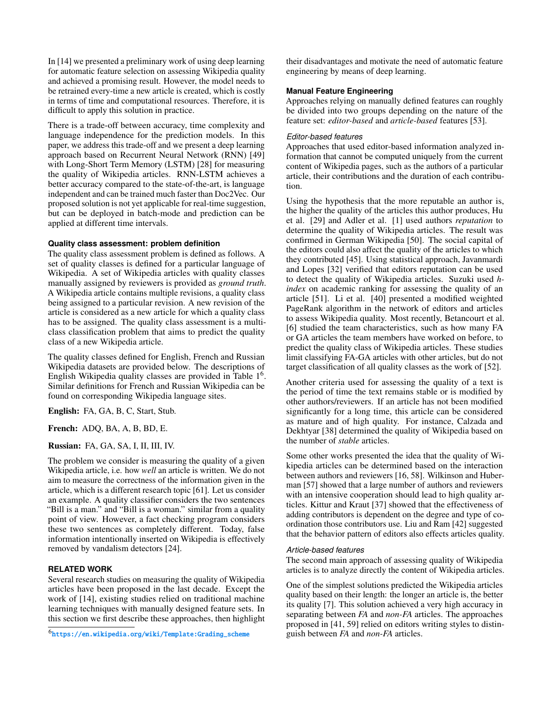In [\[14\]](#page-8-4) we presented a preliminary work of using deep learning for automatic feature selection on assessing Wikipedia quality and achieved a promising result. However, the model needs to be retrained every-time a new article is created, which is costly in terms of time and computational resources. Therefore, it is difficult to apply this solution in practice.

There is a trade-off between accuracy, time complexity and language independence for the prediction models. In this paper, we address this trade-off and we present a deep learning approach based on Recurrent Neural Network (RNN) [\[49\]](#page-9-1) with Long-Short Term Memory (LSTM) [\[28\]](#page-8-7) for measuring the quality of Wikipedia articles. RNN-LSTM achieves a better accuracy compared to the state-of-the-art, is language independent and can be trained much faster than Doc2Vec. Our proposed solution is not yet applicable for real-time suggestion, but can be deployed in batch-mode and prediction can be applied at different time intervals.

## **Quality class assessment: problem definition**

The quality class assessment problem is defined as follows. A set of quality classes is defined for a particular language of Wikipedia. A set of Wikipedia articles with quality classes manually assigned by reviewers is provided as *ground truth*. A Wikipedia article contains multiple revisions, a quality class being assigned to a particular revision. A new revision of the article is considered as a new article for which a quality class has to be assigned. The quality class assessment is a multiclass classification problem that aims to predict the quality class of a new Wikipedia article.

The quality classes defined for English, French and Russian Wikipedia datasets are provided below. The descriptions of English Wikipedia quality classes are provided in Table [1](#page-2-0)<sup>[6](#page-1-0)</sup>. Similar definitions for French and Russian Wikipedia can be found on corresponding Wikipedia language sites.

English: FA, GA, B, C, Start, Stub.

#### French: ADQ, BA, A, B, BD, E.

Russian: FA, GA, SA, I, II, III, IV.

The problem we consider is measuring the quality of a given Wikipedia article, i.e. how *well* an article is written. We do not aim to measure the correctness of the information given in the article, which is a different research topic [\[61\]](#page-9-2). Let us consider an example. A quality classifier considers the two sentences "Bill is a man." and "Bill is a woman." similar from a quality point of view. However, a fact checking program considers these two sentences as completely different. Today, false information intentionally inserted on Wikipedia is effectively removed by vandalism detectors [\[24\]](#page-8-8).

# **RELATED WORK**

Several research studies on measuring the quality of Wikipedia articles have been proposed in the last decade. Except the work of [\[14\]](#page-8-4), existing studies relied on traditional machine learning techniques with manually designed feature sets. In this section we first describe these approaches, then highlight

<span id="page-1-0"></span> $^6$ [https://en.wikipedia.org/wiki/Template:Grading\\_scheme](https://en.wikipedia.org/wiki/Template:Grading_scheme)

their disadvantages and motivate the need of automatic feature engineering by means of deep learning.

#### **Manual Feature Engineering**

Approaches relying on manually defined features can roughly be divided into two groups depending on the nature of the feature set: *editor-based* and *article-based* features [\[53\]](#page-9-3).

#### *Editor-based features*

Approaches that used editor-based information analyzed information that cannot be computed uniquely from the current content of Wikipedia pages, such as the authors of a particular article, their contributions and the duration of each contribution.

Using the hypothesis that the more reputable an author is, the higher the quality of the articles this author produces, Hu et al. [\[29\]](#page-8-2) and Adler et al. [\[1\]](#page-7-0) used authors *reputation* to determine the quality of Wikipedia articles. The result was confirmed in German Wikipedia [\[50\]](#page-9-4). The social capital of the editors could also affect the quality of the articles to which they contributed [\[45\]](#page-9-5). Using statistical approach, Javanmardi and Lopes [\[32\]](#page-8-9) verified that editors reputation can be used to detect the quality of Wikipedia articles. Suzuki used *hindex* on academic ranking for assessing the quality of an article [\[51\]](#page-9-6). Li et al. [\[40\]](#page-8-10) presented a modified weighted PageRank algorithm in the network of editors and articles to assess Wikipedia quality. Most recently, Betancourt et al. [\[6\]](#page-7-1) studied the team characteristics, such as how many FA or GA articles the team members have worked on before, to predict the quality class of Wikipedia articles. These studies limit classifying FA-GA articles with other articles, but do not target classification of all quality classes as the work of [\[52\]](#page-9-7).

Another criteria used for assessing the quality of a text is the period of time the text remains stable or is modified by other authors/reviewers. If an article has not been modified significantly for a long time, this article can be considered as mature and of high quality. For instance, Calzada and Dekhtyar [\[38\]](#page-8-11) determined the quality of Wikipedia based on the number of *stable* articles.

Some other works presented the idea that the quality of Wikipedia articles can be determined based on the interaction between authors and reviewers [\[16,](#page-8-12) [58\]](#page-9-8). Wilkinson and Huberman [\[57\]](#page-9-9) showed that a large number of authors and reviewers with an intensive cooperation should lead to high quality articles. Kittur and Kraut [\[37\]](#page-8-13) showed that the effectiveness of adding contributors is dependent on the degree and type of coordination those contributors use. Liu and Ram [\[42\]](#page-9-10) suggested that the behavior pattern of editors also effects articles quality.

#### *Article-based features*

The second main approach of assessing quality of Wikipedia articles is to analyze directly the content of Wikipedia articles.

One of the simplest solutions predicted the Wikipedia articles quality based on their length: the longer an article is, the better its quality [\[7\]](#page-8-14). This solution achieved a very high accuracy in separating between *FA* and *non-FA* articles. The approaches proposed in [\[41,](#page-9-11) [59\]](#page-9-12) relied on editors writing styles to distinguish between *FA* and *non-FA* articles.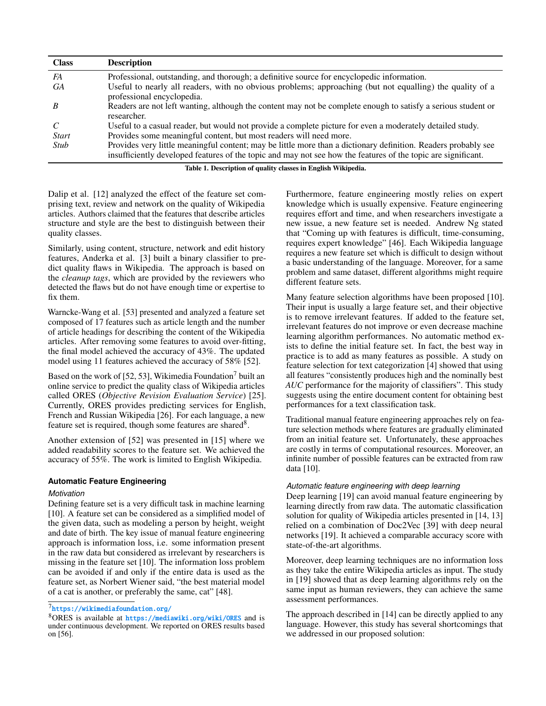| <b>Class</b> | <b>Description</b>                                                                                                                                                                                                              |
|--------------|---------------------------------------------------------------------------------------------------------------------------------------------------------------------------------------------------------------------------------|
| FA           | Professional, outstanding, and thorough; a definitive source for encyclopedic information.                                                                                                                                      |
| GA           | Useful to nearly all readers, with no obvious problems; approaching (but not equalling) the quality of a<br>professional encyclopedia.                                                                                          |
| - B          | Readers are not left wanting, although the content may not be complete enough to satisfy a serious student or<br>researcher.                                                                                                    |
| C            | Useful to a casual reader, but would not provide a complete picture for even a moderately detailed study.                                                                                                                       |
| Start        | Provides some meaningful content, but most readers will need more.                                                                                                                                                              |
| Stub         | Provides very little meaningful content; may be little more than a dictionary definition. Readers probably see<br>insufficiently developed features of the topic and may not see how the features of the topic are significant. |

<span id="page-2-0"></span>Table 1. Description of quality classes in English Wikipedia.

Dalip et al. [\[12\]](#page-8-3) analyzed the effect of the feature set comprising text, review and network on the quality of Wikipedia articles. Authors claimed that the features that describe articles structure and style are the best to distinguish between their quality classes.

Similarly, using content, structure, network and edit history features, Anderka et al. [\[3\]](#page-7-2) built a binary classifier to predict quality flaws in Wikipedia. The approach is based on the *cleanup tags*, which are provided by the reviewers who detected the flaws but do not have enough time or expertise to fix them.

Warncke-Wang et al. [\[53\]](#page-9-3) presented and analyzed a feature set composed of 17 features such as article length and the number of article headings for describing the content of the Wikipedia articles. After removing some features to avoid over-fitting, the final model achieved the accuracy of 43%. The updated model using 11 features achieved the accuracy of 58% [\[52\]](#page-9-7).

Based on the work of [\[52,](#page-9-7) [53\]](#page-9-3), Wikimedia Foundation<sup>[7](#page-2-1)</sup> built an online service to predict the quality class of Wikipedia articles called ORES (*Objective Revision Evaluation Service*) [\[25\]](#page-8-15). Currently, ORES provides predicting services for English, French and Russian Wikipedia [\[26\]](#page-8-6). For each language, a new feature set is required, though some features are shared<sup>[8](#page-2-2)</sup>.

Another extension of [\[52\]](#page-9-7) was presented in [\[15\]](#page-8-16) where we added readability scores to the feature set. We achieved the accuracy of 55%. The work is limited to English Wikipedia.

# **Automatic Feature Engineering**

# *Motivation*

Defining feature set is a very difficult task in machine learning [\[10\]](#page-8-5). A feature set can be considered as a simplified model of the given data, such as modeling a person by height, weight and date of birth. The key issue of manual feature engineering approach is information loss, i.e. some information present in the raw data but considered as irrelevant by researchers is missing in the feature set [\[10\]](#page-8-5). The information loss problem can be avoided if and only if the entire data is used as the feature set, as Norbert Wiener said, "the best material model of a cat is another, or preferably the same, cat" [\[48\]](#page-9-13).

Furthermore, feature engineering mostly relies on expert knowledge which is usually expensive. Feature engineering requires effort and time, and when researchers investigate a new issue, a new feature set is needed. Andrew Ng stated that "Coming up with features is difficult, time-consuming, requires expert knowledge" [\[46\]](#page-9-15). Each Wikipedia language requires a new feature set which is difficult to design without a basic understanding of the language. Moreover, for a same problem and same dataset, different algorithms might require different feature sets.

Many feature selection algorithms have been proposed [\[10\]](#page-8-5). Their input is usually a large feature set, and their objective is to remove irrelevant features. If added to the feature set, irrelevant features do not improve or even decrease machine learning algorithm performances. No automatic method exists to define the initial feature set. In fact, the best way in practice is to add as many features as possible. A study on feature selection for text categorization [\[4\]](#page-7-3) showed that using all features "consistently produces high and the nominally best *AUC* performance for the majority of classifiers". This study suggests using the entire document content for obtaining best performances for a text classification task.

Traditional manual feature engineering approaches rely on feature selection methods where features are gradually eliminated from an initial feature set. Unfortunately, these approaches are costly in terms of computational resources. Moreover, an infinite number of possible features can be extracted from raw data [\[10\]](#page-8-5).

# *Automatic feature engineering with deep learning*

Deep learning [\[19\]](#page-8-17) can avoid manual feature engineering by learning directly from raw data. The automatic classification solution for quality of Wikipedia articles presented in [\[14,](#page-8-4) [13\]](#page-8-18) relied on a combination of Doc2Vec [\[39\]](#page-8-19) with deep neural networks [\[19\]](#page-8-17). It achieved a comparable accuracy score with state-of-the-art algorithms.

Moreover, deep learning techniques are no information loss as they take the entire Wikipedia articles as input. The study in [\[19\]](#page-8-17) showed that as deep learning algorithms rely on the same input as human reviewers, they can achieve the same assessment performances.

The approach described in [\[14\]](#page-8-4) can be directly applied to any language. However, this study has several shortcomings that we addressed in our proposed solution:

<span id="page-2-1"></span><sup>&</sup>lt;sup>7</sup><https://wikimediafoundation.org/>

<span id="page-2-2"></span><sup>8</sup>ORES is available at <https://mediawiki.org/wiki/ORES> and is under continuous development. We reported on ORES results based on [\[56\]](#page-9-14).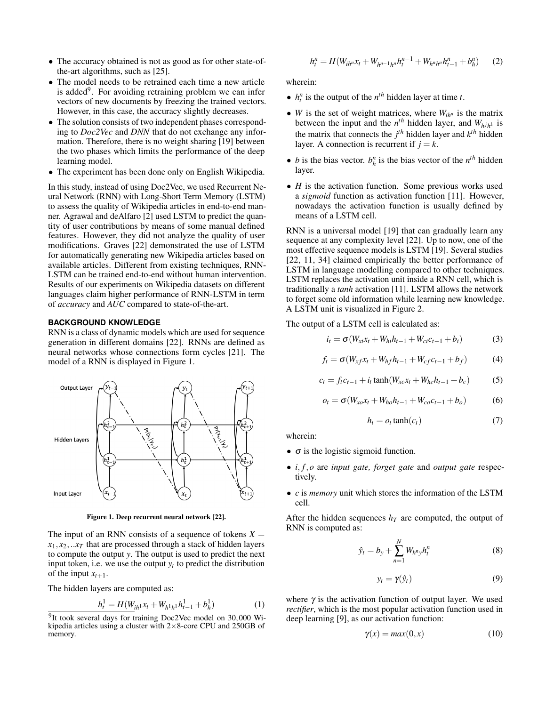- The accuracy obtained is not as good as for other state-ofthe-art algorithms, such as [\[25\]](#page-8-15).
- The model needs to be retrained each time a new article is added<sup>[9](#page-3-0)</sup>. For avoiding retraining problem we can infer vectors of new documents by freezing the trained vectors. However, in this case, the accuracy slightly decreases.
- The solution consists of two independent phases corresponding to *Doc2Vec* and *DNN* that do not exchange any information. Therefore, there is no weight sharing [\[19\]](#page-8-17) between the two phases which limits the performance of the deep learning model.
- The experiment has been done only on English Wikipedia.

In this study, instead of using Doc2Vec, we used Recurrent Neural Network (RNN) with Long-Short Term Memory (LSTM) to assess the quality of Wikipedia articles in end-to-end manner. Agrawal and deAlfaro [\[2\]](#page-7-4) used LSTM to predict the quantity of user contributions by means of some manual defined features. However, they did not analyze the quality of user modifications. Graves [\[22\]](#page-8-20) demonstrated the use of LSTM for automatically generating new Wikipedia articles based on available articles. Different from existing techniques, RNN-LSTM can be trained end-to-end without human intervention. Results of our experiments on Wikipedia datasets on different languages claim higher performance of RNN-LSTM in term of *accuracy* and *AUC* compared to state-of-the-art.

#### **BACKGROUND KNOWLEDGE**

RNN is a class of dynamic models which are used for sequence generation in different domains [\[22\]](#page-8-20). RNNs are defined as neural networks whose connections form cycles [\[21\]](#page-8-21). The model of a RNN is displayed in Figure [1.](#page-3-1)



<span id="page-3-1"></span>Figure 1. Deep recurrent neural network [\[22\]](#page-8-20).

The input of an RNN consists of a sequence of tokens  $X =$  $x_1, x_2, \ldots x_T$  that are processed through a stack of hidden layers to compute the output *y*. The output is used to predict the next input token, i.e. we use the output  $y_t$  to predict the distribution of the input  $x_{t+1}$ .

The hidden layers are computed as:

$$
h_t^1 = H(W_{ih}^1 x_t + W_{h^1 h^1} h_{t-1}^1 + b_h^1)
$$
 (1)

$$
h_t^n = H(W_{ih^n}x_t + W_{h^{n-1}h^n}h_t^{n-1} + W_{h^n h^n}h_{t-1}^n + b_h^n) \qquad (2)
$$

wherein:

- $h_t^n$  is the output of the  $n^{th}$  hidden layer at time *t*.
- *W* is the set of weight matrices, where  $W_{ih^n}$  is the matrix between the input and the  $n^{th}$  hidden layer, and  $W_{h}j_{h}$  is the matrix that connects the  $j<sup>th</sup>$  hidden layer and  $k<sup>th</sup>$  hidden layer. A connection is recurrent if  $j = k$ .
- *b* is the bias vector.  $b_h^n$  is the bias vector of the  $n^{th}$  hidden layer.
- *H* is the activation function. Some previous works used a *sigmoid* function as activation function [\[11\]](#page-8-22). However, nowadays the activation function is usually defined by means of a LSTM cell.

RNN is a universal model [\[19\]](#page-8-17) that can gradually learn any sequence at any complexity level [\[22\]](#page-8-20). Up to now, one of the most effective sequence models is LSTM [\[19\]](#page-8-17). Several studies [\[22,](#page-8-20) [11,](#page-8-22) [34\]](#page-8-23) claimed empirically the better performance of LSTM in language modelling compared to other techniques. LSTM replaces the activation unit inside a RNN cell, which is traditionally a *tanh* activation [\[11\]](#page-8-22). LSTM allows the network to forget some old information while learning new knowledge. A LSTM unit is visualized in Figure [2.](#page-4-0)

The output of a LSTM cell is calculated as:

$$
i_{t} = \sigma(W_{xi}x_{t} + W_{hi}h_{t-1} + W_{ci}c_{t-1} + b_{i})
$$
 (3)

$$
f_t = \sigma(W_{xf}x_t + W_{hf}h_{t-1} + W_{cf}c_{t-1} + b_f)
$$
 (4)

$$
c_t = f_t c_{t-1} + i_t \tanh(W_{xc} x_t + W_{hc} h_{t-1} + b_c)
$$
 (5)

$$
o_t = \sigma(W_{xo}x_t + W_{ho}h_{t-1} + W_{co}c_{t-1} + b_o)
$$
 (6)

$$
h_t = o_t \tanh(c_t) \tag{7}
$$

wherein:

- $\bullet$   $\sigma$  is the logistic sigmoid function.
- *i*, *f*,*o* are *input gate, forget gate* and *output gate* respectively.
- *c* is *memory* unit which stores the information of the LSTM cell.

After the hidden sequences  $h<sub>T</sub>$  are computed, the output of RNN is computed as:

$$
\hat{y}_t = b_y + \sum_{n=1}^{N} W_{h^n y} h_t^n \tag{8}
$$

$$
y_t = \gamma(\hat{y}_t) \tag{9}
$$

where  $\gamma$  is the activation function of output layer. We used *rectifier*, which is the most popular activation function used in deep learning [\[9\]](#page-8-24), as our activation function:

$$
\gamma(x) = \max(0, x) \tag{10}
$$

<span id="page-3-0"></span><sup>&</sup>lt;sup>9</sup>It took several days for training Doc2Vec model on 30,000 Wikipedia articles using a cluster with  $2 \times 8$ -core CPU and  $250GB$  of memory.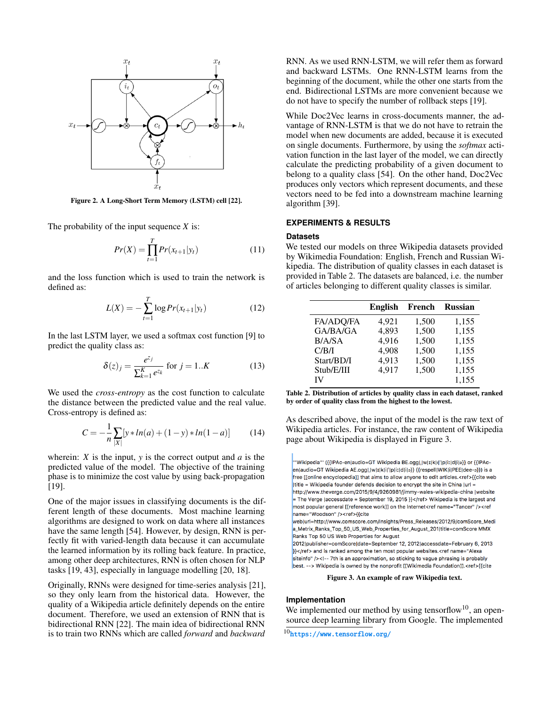

<span id="page-4-0"></span>Figure 2. A Long-Short Term Memory (LSTM) cell [\[22\]](#page-8-20).

The probability of the input sequence *X* is:

$$
Pr(X) = \prod_{t=1}^{T} Pr(x_{t+1}|y_t)
$$
\n(11)

and the loss function which is used to train the network is defined as:

$$
L(X) = -\sum_{t=1}^{T} \log Pr(x_{t+1}|y_t)
$$
 (12)

In the last LSTM layer, we used a softmax cost function [\[9\]](#page-8-24) to predict the quality class as:

$$
\delta(z)_j = \frac{e^{z_j}}{\sum_{k=1}^K e^{z_k}} \text{ for } j = 1..K \tag{13}
$$

We used the *cross-entropy* as the cost function to calculate the distance between the predicted value and the real value. Cross-entropy is defined as:

$$
C = -\frac{1}{n} \sum_{|X|} [y * ln(a) + (1 - y) * ln(1 - a)] \tag{14}
$$

wherein:  $X$  is the input,  $y$  is the correct output and  $a$  is the predicted value of the model. The objective of the training phase is to minimize the cost value by using back-propagation [\[19\]](#page-8-17).

One of the major issues in classifying documents is the different length of these documents. Most machine learning algorithms are designed to work on data where all instances have the same length [\[54\]](#page-9-0). However, by design, RNN is perfectly fit with varied-length data because it can accumulate the learned information by its rolling back feature. In practice, among other deep architectures, RNN is often chosen for NLP tasks [\[19,](#page-8-17) [43\]](#page-9-16), especially in language modelling [\[20,](#page-8-25) [18\]](#page-8-26).

Originally, RNNs were designed for time-series analysis [\[21\]](#page-8-21), so they only learn from the historical data. However, the quality of a Wikipedia article definitely depends on the entire document. Therefore, we used an extension of RNN that is bidirectional RNN [\[22\]](#page-8-20). The main idea of bidirectional RNN is to train two RNNs which are called *forward* and *backward*

RNN. As we used RNN-LSTM, we will refer them as forward and backward LSTMs. One RNN-LSTM learns from the beginning of the document, while the other one starts from the end. Bidirectional LSTMs are more convenient because we do not have to specify the number of rollback steps [\[19\]](#page-8-17).

While Doc2Vec learns in cross-documents manner, the advantage of RNN-LSTM is that we do not have to retrain the model when new documents are added, because it is executed on single documents. Furthermore, by using the *softmax* activation function in the last layer of the model, we can directly calculate the predicting probability of a given document to belong to a quality class [\[54\]](#page-9-0). On the other hand, Doc2Vec produces only vectors which represent documents, and these vectors need to be fed into a downstream machine learning algorithm [\[39\]](#page-8-19).

## **EXPERIMENTS & RESULTS**

#### **Datasets**

We tested our models on three Wikipedia datasets provided by Wikimedia Foundation: English, French and Russian Wikipedia. The distribution of quality classes in each dataset is provided in Table [2.](#page-4-1) The datasets are balanced, i.e. the number of articles belonging to different quality classes is similar.

|               | English | French | <b>Russian</b> |
|---------------|---------|--------|----------------|
| FA/ADQ/FA     | 4,921   | 1,500  | 1,155          |
| GA/BA/GA      | 4,893   | 1,500  | 1,155          |
| <b>B/A/SA</b> | 4,916   | 1,500  | 1,155          |
| C/B/I         | 4,908   | 1,500  | 1,155          |
| Start/BD/I    | 4,913   | 1,500  | 1,155          |
| Stub/E/III    | 4,917   | 1,500  | 1,155          |
| IV            |         |        | 1,155          |

<span id="page-4-1"></span>Table 2. Distribution of articles by quality class in each dataset, ranked by order of quality class from the highest to the lowest.

As described above, the input of the model is the raw text of Wikipedia articles. For instance, the raw content of Wikipedia page about Wikipedia is displayed in Figure [3.](#page-4-2)

"Wikipedia"' ({{IPAc-en|audio=GT Wikipedia BE.ogg|,|w|ɪ|k|+|'|p|iː|d|i|ə}} or {{IPAcen|audio=GT Wikipedia AE.ogg|,|w|1|k|i|'|p|i:|d|i|a}} {{respel||WIK|i|PEE|dee-a}}) is a free [[online encyclopedia]] that aims to allow anyone to edit articles.<ref>{{cite web Ititle = Wikipedia founder defends decision to encrypt the site in China |url = http://www.theverge.com/2015/9/4/9260981/jimmy-wales-wikipedia-china |website = The Verge | accessdate = September 19, 2015 }}</ref> Wikipedia is the largest and most popular general [[reference work]] on the Internet<ref name="Tancer" /><ref name="Woodson" /><ref>{{cite

<span id="page-4-2"></span>Figure 3. An example of raw Wikipedia text.

# **Implementation**

We implemented our method by using tensorflow<sup>[10](#page-4-3)</sup>, an opensource deep learning library from Google. The implemented

web|url=http://www.comscore.com/Insights/Press\_Releases/2012/9/comScore\_Medi a\_Metrix\_Ranks\_Top\_50\_US\_Web\_Properties\_for\_August\_201|title=comScore MMX Ranks Top 50 US Web Properties for August

<sup>2012|</sup>publisher=comScore|date=September 12, 2012|accessdate=February 6, 2013 }}</ref> and is ranked among the ten most popular websites.<ref name="Alexa siteinfo" /><!-- 7th is an approximation, so sticking to vague phrasing is probably best. --> Wikipedia is owned by the nonprofit [[Wikimedia Foundation]].<ref>{{cite

<span id="page-4-3"></span><sup>10</sup><https://www.tensorflow.org/>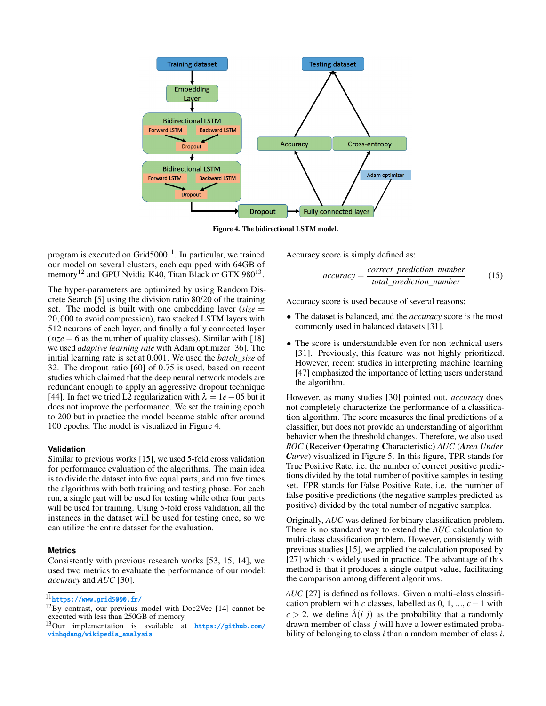

<span id="page-5-3"></span>Figure 4. The bidirectional LSTM model.

program is executed on Grid $5000<sup>11</sup>$  $5000<sup>11</sup>$  $5000<sup>11</sup>$ . In particular, we trained our model on several clusters, each equipped with 64GB of memory<sup>[12](#page-5-1)</sup> and GPU Nvidia K40, Titan Black or GTX 980<sup>[13](#page-5-2)</sup>.

The hyper-parameters are optimized by using Random Discrete Search [\[5\]](#page-7-5) using the division ratio 80/20 of the training set. The model is built with one embedding layer (*size* = 20,000 to avoid compression), two stacked LSTM layers with 512 neurons of each layer, and finally a fully connected layer  $(size = 6$  as the number of quality classes). Similar with [\[18\]](#page-8-26) we used *adaptive learning rate* with Adam optimizer [\[36\]](#page-8-27). The initial learning rate is set at 0.001. We used the *batch*\_*size* of 32. The dropout ratio [\[60\]](#page-9-17) of 0.75 is used, based on recent studies which claimed that the deep neural network models are redundant enough to apply an aggressive dropout technique [\[44\]](#page-9-18). In fact we tried L2 regularization with  $\lambda = 1e - 05$  but it does not improve the performance. We set the training epoch to 200 but in practice the model became stable after around 100 epochs. The model is visualized in Figure [4.](#page-5-3)

### **Validation**

Similar to previous works [\[15\]](#page-8-16), we used 5-fold cross validation for performance evaluation of the algorithms. The main idea is to divide the dataset into five equal parts, and run five times the algorithms with both training and testing phase. For each run, a single part will be used for testing while other four parts will be used for training. Using 5-fold cross validation, all the instances in the dataset will be used for testing once, so we can utilize the entire dataset for the evaluation.

## **Metrics**

Consistently with previous research works [\[53,](#page-9-3) [15,](#page-8-16) [14\]](#page-8-4), we used two metrics to evaluate the performance of our model: *accuracy* and *AUC* [\[30\]](#page-8-28).

Accuracy score is simply defined as:

$$
accuracy = \frac{correct\_prediction\_number}{total\_prediction\_number} \tag{15}
$$

Accuracy score is used because of several reasons:

- The dataset is balanced, and the *accuracy* score is the most commonly used in balanced datasets [\[31\]](#page-8-29).
- The score is understandable even for non technical users [\[31\]](#page-8-29). Previously, this feature was not highly prioritized. However, recent studies in interpreting machine learning [\[47\]](#page-9-19) emphasized the importance of letting users understand the algorithm.

However, as many studies [\[30\]](#page-8-28) pointed out, *accuracy* does not completely characterize the performance of a classification algorithm. The score measures the final predictions of a classifier, but does not provide an understanding of algorithm behavior when the threshold changes. Therefore, we also used *ROC* (Receiver Operating Characteristic) *AUC* (*Area Under Curve*) visualized in Figure [5.](#page-6-0) In this figure, TPR stands for True Positive Rate, i.e. the number of correct positive predictions divided by the total number of positive samples in testing set. FPR stands for False Positive Rate, i.e. the number of false positive predictions (the negative samples predicted as positive) divided by the total number of negative samples.

Originally, *AUC* was defined for binary classification problem. There is no standard way to extend the *AUC* calculation to multi-class classification problem. However, consistently with previous studies [\[15\]](#page-8-16), we applied the calculation proposed by [\[27\]](#page-8-30) which is widely used in practice. The advantage of this method is that it produces a single output value, facilitating the comparison among different algorithms.

*AUC* [\[27\]](#page-8-30) is defined as follows. Given a multi-class classification problem with *c* classes, labelled as 0, 1, ..., *c*−1 with  $c > 2$ , we define  $\hat{A}(i|j)$  as the probability that a randomly drawn member of class *j* will have a lower estimated probability of belonging to class *i* than a random member of class *i*.

<span id="page-5-0"></span><sup>11</sup><https://www.grid5000.fr/>

<span id="page-5-1"></span> $12$ By contrast, our previous model with Doc2Vec [\[14\]](#page-8-4) cannot be executed with less than 250GB of memory.

<span id="page-5-2"></span><sup>&</sup>lt;sup>13</sup>Our implementation is available at  $h$ ttps://github.com/ [vinhqdang/wikipedia\\_analysis](https://github.com/vinhqdang/wikipedia_analysis)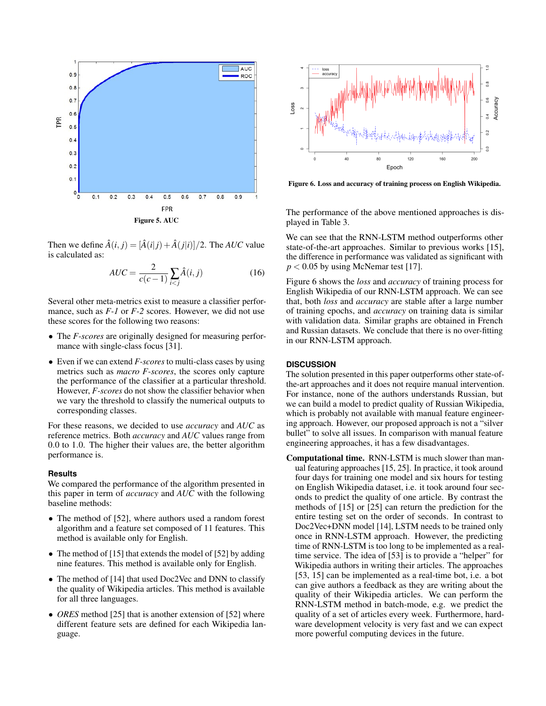

Then we define  $\hat{A}(i, j) = [\hat{A}(i|j) + \hat{A}(j|i)]/2$ . The *AUC* value is calculated as:

<span id="page-6-0"></span>
$$
AUC = \frac{2}{c(c-1)} \sum_{i < j} \hat{A}(i, j) \tag{16}
$$

Several other meta-metrics exist to measure a classifier performance, such as *F-1* or *F-2* scores. However, we did not use these scores for the following two reasons:

- The *F-scores* are originally designed for measuring performance with single-class focus [\[31\]](#page-8-29).
- Even if we can extend *F-scores* to multi-class cases by using metrics such as *macro F-scores*, the scores only capture the performance of the classifier at a particular threshold. However, *F-scores* do not show the classifier behavior when we vary the threshold to classify the numerical outputs to corresponding classes.

For these reasons, we decided to use *accuracy* and *AUC* as reference metrics. Both *accuracy* and *AUC* values range from 0.0 to 1.0. The higher their values are, the better algorithm performance is.

#### **Results**

We compared the performance of the algorithm presented in this paper in term of *accuracy* and *AUC* with the following baseline methods:

- The method of [\[52\]](#page-9-7), where authors used a random forest algorithm and a feature set composed of 11 features. This method is available only for English.
- The method of [\[15\]](#page-8-16) that extends the model of [\[52\]](#page-9-7) by adding nine features. This method is available only for English.
- The method of [\[14\]](#page-8-4) that used Doc2Vec and DNN to classify the quality of Wikipedia articles. This method is available for all three languages.
- *ORES* method [\[25\]](#page-8-15) that is another extension of [\[52\]](#page-9-7) where different feature sets are defined for each Wikipedia language.



<span id="page-6-1"></span>Figure 6. Loss and accuracy of training process on English Wikipedia.

The performance of the above mentioned approaches is displayed in Table [3.](#page-7-6)

We can see that the RNN-LSTM method outperforms other state-of-the-art approaches. Similar to previous works [\[15\]](#page-8-16), the difference in performance was validated as significant with  $p < 0.05$  by using McNemar test [\[17\]](#page-8-31).

Figure [6](#page-6-1) shows the *loss* and *accuracy* of training process for English Wikipedia of our RNN-LSTM approach. We can see that, both *loss* and *accuracy* are stable after a large number of training epochs, and *accuracy* on training data is similar with validation data. Similar graphs are obtained in French and Russian datasets. We conclude that there is no over-fitting in our RNN-LSTM approach.

#### **DISCUSSION**

The solution presented in this paper outperforms other state-ofthe-art approaches and it does not require manual intervention. For instance, none of the authors understands Russian, but we can build a model to predict quality of Russian Wikipedia, which is probably not available with manual feature engineering approach. However, our proposed approach is not a "silver bullet" to solve all issues. In comparison with manual feature engineering approaches, it has a few disadvantages.

Computational time. RNN-LSTM is much slower than manual featuring approaches [\[15,](#page-8-16) [25\]](#page-8-15). In practice, it took around four days for training one model and six hours for testing on English Wikipedia dataset, i.e. it took around four seconds to predict the quality of one article. By contrast the methods of [\[15\]](#page-8-16) or [\[25\]](#page-8-15) can return the prediction for the entire testing set on the order of seconds. In contrast to Doc2Vec+DNN model [\[14\]](#page-8-4), LSTM needs to be trained only once in RNN-LSTM approach. However, the predicting time of RNN-LSTM is too long to be implemented as a realtime service. The idea of [\[53\]](#page-9-3) is to provide a "helper" for Wikipedia authors in writing their articles. The approaches [\[53,](#page-9-3) [15\]](#page-8-16) can be implemented as a real-time bot, i.e. a bot can give authors a feedback as they are writing about the quality of their Wikipedia articles. We can perform the RNN-LSTM method in batch-mode, e.g. we predict the quality of a set of articles every week. Furthermore, hardware development velocity is very fast and we can expect more powerful computing devices in the future.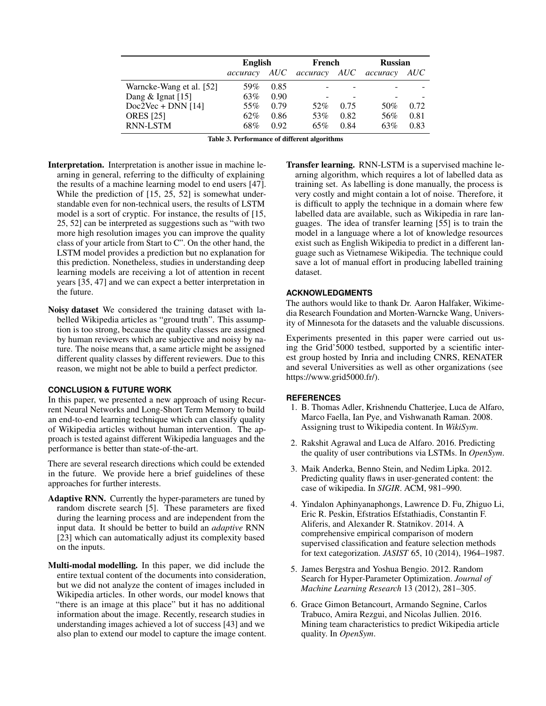|                          | English  |      | French              |      | <b>Russian</b> |            |
|--------------------------|----------|------|---------------------|------|----------------|------------|
|                          | accuracy | AUC- | <i>accuracy AUC</i> |      | accuracy       | <i>AUC</i> |
| Warncke-Wang et al. [52] | 59%      | 0.85 |                     |      |                |            |
| Dang & Ignat $[15]$      | 63%      | 0.90 |                     |      |                |            |
| $Doc2Vec + DNN [14]$     | 55%      | 0.79 | 52%                 | 0.75 | 50%            | 0.72       |
| <b>ORES</b> [25]         | 62%      | 0.86 | 53%                 | 0.82 | 56%            | 0.81       |
| <b>RNN-LSTM</b>          | 68%      | 0.92 | 65%                 | 0.84 | 63%            | 0.83       |

<span id="page-7-6"></span>Table 3. Performance of different algorithms

- Interpretation. Interpretation is another issue in machine learning in general, referring to the difficulty of explaining the results of a machine learning model to end users [\[47\]](#page-9-19). While the prediction of [\[15,](#page-8-16) [25,](#page-8-15) [52\]](#page-9-7) is somewhat understandable even for non-technical users, the results of LSTM model is a sort of cryptic. For instance, the results of [\[15,](#page-8-16) [25,](#page-8-15) [52\]](#page-9-7) can be interpreted as suggestions such as "with two more high resolution images you can improve the quality class of your article from Start to C". On the other hand, the LSTM model provides a prediction but no explanation for this prediction. Nonetheless, studies in understanding deep learning models are receiving a lot of attention in recent years [\[35,](#page-8-32) [47\]](#page-9-19) and we can expect a better interpretation in the future.
- Noisy dataset We considered the training dataset with labelled Wikipedia articles as "ground truth". This assumption is too strong, because the quality classes are assigned by human reviewers which are subjective and noisy by nature. The noise means that, a same article might be assigned different quality classes by different reviewers. Due to this reason, we might not be able to build a perfect predictor.

# **CONCLUSION & FUTURE WORK**

In this paper, we presented a new approach of using Recurrent Neural Networks and Long-Short Term Memory to build an end-to-end learning technique which can classify quality of Wikipedia articles without human intervention. The approach is tested against different Wikipedia languages and the performance is better than state-of-the-art.

There are several research directions which could be extended in the future. We provide here a brief guidelines of these approaches for further interests.

- Adaptive RNN. Currently the hyper-parameters are tuned by random discrete search [\[5\]](#page-7-5). These parameters are fixed during the learning process and are independent from the input data. It should be better to build an *adaptive* RNN [\[23\]](#page-8-33) which can automatically adjust its complexity based on the inputs.
- Multi-modal modelling. In this paper, we did include the entire textual content of the documents into consideration, but we did not analyze the content of images included in Wikipedia articles. In other words, our model knows that "there is an image at this place" but it has no additional information about the image. Recently, research studies in understanding images achieved a lot of success [\[43\]](#page-9-16) and we also plan to extend our model to capture the image content.

Transfer learning. RNN-LSTM is a supervised machine learning algorithm, which requires a lot of labelled data as training set. As labelling is done manually, the process is very costly and might contain a lot of noise. Therefore, it is difficult to apply the technique in a domain where few labelled data are available, such as Wikipedia in rare languages. The idea of transfer learning [\[55\]](#page-9-20) is to train the model in a language where a lot of knowledge resources exist such as English Wikipedia to predict in a different language such as Vietnamese Wikipedia. The technique could save a lot of manual effort in producing labelled training dataset.

# **ACKNOWLEDGMENTS**

The authors would like to thank Dr. Aaron Halfaker, Wikimedia Research Foundation and Morten-Warncke Wang, University of Minnesota for the datasets and the valuable discussions.

Experiments presented in this paper were carried out using the Grid'5000 testbed, supported by a scientific interest group hosted by Inria and including CNRS, RENATER and several Universities as well as other organizations (see https://www.grid5000.fr/).

### <span id="page-7-0"></span>**REFERENCES**

- 1. B. Thomas Adler, Krishnendu Chatterjee, Luca de Alfaro, Marco Faella, Ian Pye, and Vishwanath Raman. 2008. Assigning trust to Wikipedia content. In *WikiSym*.
- <span id="page-7-4"></span>2. Rakshit Agrawal and Luca de Alfaro. 2016. Predicting the quality of user contributions via LSTMs. In *OpenSym*.
- <span id="page-7-2"></span>3. Maik Anderka, Benno Stein, and Nedim Lipka. 2012. Predicting quality flaws in user-generated content: the case of wikipedia. In *SIGIR*. ACM, 981–990.
- <span id="page-7-3"></span>4. Yindalon Aphinyanaphongs, Lawrence D. Fu, Zhiguo Li, Eric R. Peskin, Efstratios Efstathiadis, Constantin F. Aliferis, and Alexander R. Statnikov. 2014. A comprehensive empirical comparison of modern supervised classification and feature selection methods for text categorization. *JASIST* 65, 10 (2014), 1964–1987.
- <span id="page-7-5"></span>5. James Bergstra and Yoshua Bengio. 2012. Random Search for Hyper-Parameter Optimization. *Journal of Machine Learning Research* 13 (2012), 281–305.
- <span id="page-7-1"></span>6. Grace Gimon Betancourt, Armando Segnine, Carlos Trabuco, Amira Rezgui, and Nicolas Jullien. 2016. Mining team characteristics to predict Wikipedia article quality. In *OpenSym*.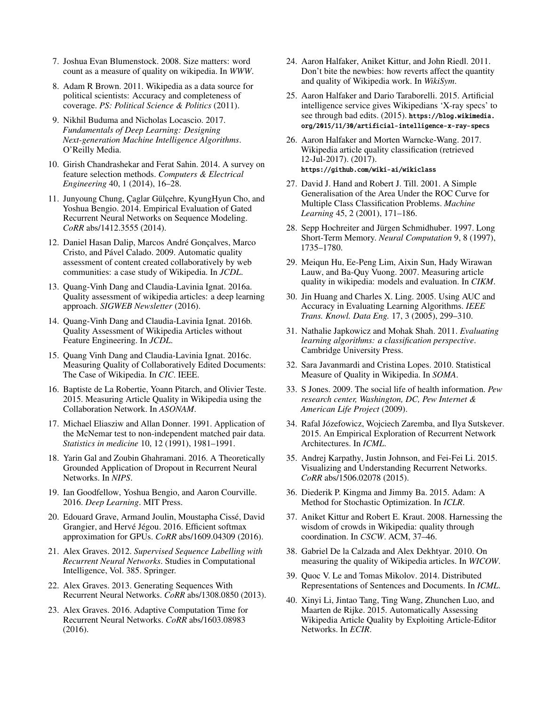- <span id="page-8-14"></span>7. Joshua Evan Blumenstock. 2008. Size matters: word count as a measure of quality on wikipedia. In *WWW*.
- <span id="page-8-0"></span>8. Adam R Brown. 2011. Wikipedia as a data source for political scientists: Accuracy and completeness of coverage. *PS: Political Science & Politics* (2011).
- <span id="page-8-24"></span>9. Nikhil Buduma and Nicholas Locascio. 2017. *Fundamentals of Deep Learning: Designing Next-generation Machine Intelligence Algorithms*. O'Reilly Media.
- <span id="page-8-5"></span>10. Girish Chandrashekar and Ferat Sahin. 2014. A survey on feature selection methods. *Computers & Electrical Engineering* 40, 1 (2014), 16–28.
- <span id="page-8-22"></span>11. Junyoung Chung, Çaglar Gülçehre, KyungHyun Cho, and Yoshua Bengio. 2014. Empirical Evaluation of Gated Recurrent Neural Networks on Sequence Modeling. *CoRR* abs/1412.3555 (2014).
- <span id="page-8-3"></span>12. Daniel Hasan Dalip, Marcos André Gonçalves, Marco Cristo, and Pável Calado. 2009. Automatic quality assessment of content created collaboratively by web communities: a case study of Wikipedia. In *JCDL*.
- <span id="page-8-18"></span>13. Quang-Vinh Dang and Claudia-Lavinia Ignat. 2016a. Quality assessment of wikipedia articles: a deep learning approach. *SIGWEB Newsletter* (2016).
- <span id="page-8-4"></span>14. Quang-Vinh Dang and Claudia-Lavinia Ignat. 2016b. Quality Assessment of Wikipedia Articles without Feature Engineering. In *JCDL*.
- <span id="page-8-16"></span>15. Quang Vinh Dang and Claudia-Lavinia Ignat. 2016c. Measuring Quality of Collaboratively Edited Documents: The Case of Wikipedia. In *CIC*. IEEE.
- <span id="page-8-12"></span>16. Baptiste de La Robertie, Yoann Pitarch, and Olivier Teste. 2015. Measuring Article Quality in Wikipedia using the Collaboration Network. In *ASONAM*.
- <span id="page-8-31"></span>17. Michael Eliasziw and Allan Donner. 1991. Application of the McNemar test to non-independent matched pair data. *Statistics in medicine* 10, 12 (1991), 1981–1991.
- <span id="page-8-26"></span>18. Yarin Gal and Zoubin Ghahramani. 2016. A Theoretically Grounded Application of Dropout in Recurrent Neural Networks. In *NIPS*.
- <span id="page-8-17"></span>19. Ian Goodfellow, Yoshua Bengio, and Aaron Courville. 2016. *Deep Learning*. MIT Press.
- <span id="page-8-25"></span>20. Edouard Grave, Armand Joulin, Moustapha Cissé, David Grangier, and Hervé Jégou. 2016. Efficient softmax approximation for GPUs. *CoRR* abs/1609.04309 (2016).
- <span id="page-8-21"></span>21. Alex Graves. 2012. *Supervised Sequence Labelling with Recurrent Neural Networks*. Studies in Computational Intelligence, Vol. 385. Springer.
- <span id="page-8-20"></span>22. Alex Graves. 2013. Generating Sequences With Recurrent Neural Networks. *CoRR* abs/1308.0850 (2013).
- <span id="page-8-33"></span>23. Alex Graves. 2016. Adaptive Computation Time for Recurrent Neural Networks. *CoRR* abs/1603.08983 (2016).
- <span id="page-8-8"></span>24. Aaron Halfaker, Aniket Kittur, and John Riedl. 2011. Don't bite the newbies: how reverts affect the quantity and quality of Wikipedia work. In *WikiSym*.
- <span id="page-8-15"></span>25. Aaron Halfaker and Dario Taraborelli. 2015. Artificial intelligence service gives Wikipedians 'X-ray specs' to see through bad edits. (2015). [https://blog.wikimedia.](https://blog.wikimedia.org/2015/11/30/artificial-intelligence-x-ray-specs) [org/2015/11/30/artificial-intelligence-x-ray-specs](https://blog.wikimedia.org/2015/11/30/artificial-intelligence-x-ray-specs)
- <span id="page-8-6"></span>26. Aaron Halfaker and Morten Warncke-Wang. 2017. Wikipedia article quality classification (retrieved 12-Jul-2017). (2017). <https://github.com/wiki-ai/wikiclass>
- <span id="page-8-30"></span>27. David J. Hand and Robert J. Till. 2001. A Simple Generalisation of the Area Under the ROC Curve for Multiple Class Classification Problems. *Machine Learning* 45, 2 (2001), 171–186.
- <span id="page-8-7"></span>28. Sepp Hochreiter and Jürgen Schmidhuber. 1997. Long Short-Term Memory. *Neural Computation* 9, 8 (1997), 1735–1780.
- <span id="page-8-2"></span>29. Meiqun Hu, Ee-Peng Lim, Aixin Sun, Hady Wirawan Lauw, and Ba-Quy Vuong. 2007. Measuring article quality in wikipedia: models and evaluation. In *CIKM*.
- <span id="page-8-28"></span>30. Jin Huang and Charles X. Ling. 2005. Using AUC and Accuracy in Evaluating Learning Algorithms. *IEEE Trans. Knowl. Data Eng.* 17, 3 (2005), 299–310.
- <span id="page-8-29"></span>31. Nathalie Japkowicz and Mohak Shah. 2011. *Evaluating learning algorithms: a classification perspective*. Cambridge University Press.
- <span id="page-8-9"></span>32. Sara Javanmardi and Cristina Lopes. 2010. Statistical Measure of Quality in Wikipedia. In *SOMA*.
- <span id="page-8-1"></span>33. S Jones. 2009. The social life of health information. *Pew research center, Washington, DC, Pew Internet & American Life Project* (2009).
- <span id="page-8-23"></span>34. Rafal Józefowicz, Wojciech Zaremba, and Ilya Sutskever. 2015. An Empirical Exploration of Recurrent Network Architectures. In *ICML*.
- <span id="page-8-32"></span>35. Andrej Karpathy, Justin Johnson, and Fei-Fei Li. 2015. Visualizing and Understanding Recurrent Networks. *CoRR* abs/1506.02078 (2015).
- <span id="page-8-27"></span>36. Diederik P. Kingma and Jimmy Ba. 2015. Adam: A Method for Stochastic Optimization. In *ICLR*.
- <span id="page-8-13"></span>37. Aniket Kittur and Robert E. Kraut. 2008. Harnessing the wisdom of crowds in Wikipedia: quality through coordination. In *CSCW*. ACM, 37–46.
- <span id="page-8-11"></span>38. Gabriel De la Calzada and Alex Dekhtyar. 2010. On measuring the quality of Wikipedia articles. In *WICOW*.
- <span id="page-8-19"></span>39. Quoc V. Le and Tomas Mikolov. 2014. Distributed Representations of Sentences and Documents. In *ICML*.
- <span id="page-8-10"></span>40. Xinyi Li, Jintao Tang, Ting Wang, Zhunchen Luo, and Maarten de Rijke. 2015. Automatically Assessing Wikipedia Article Quality by Exploiting Article-Editor Networks. In *ECIR*.